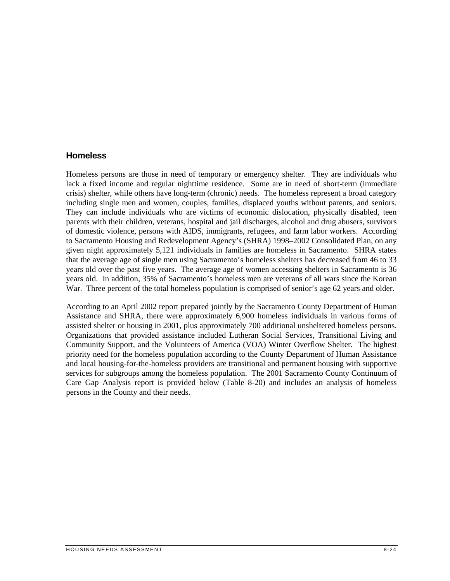### **Homeless**

 of domestic violence, persons with AIDS, immigrants, refugees, and farm labor workers. According years old. In addition, 35% of Sacramento's homeless men are veterans of all wars since the Korean Homeless persons are those in need of temporary or emergency shelter. They are individuals who lack a fixed income and regular nighttime residence. Some are in need of short-term (immediate crisis) shelter, while others have long-term (chronic) needs. The homeless represent a broad category including single men and women, couples, families, displaced youths without parents, and seniors. They can include individuals who are victims of economic dislocation, physically disabled, teen parents with their children, veterans, hospital and jail discharges, alcohol and drug abusers, survivors to Sacramento Housing and Redevelopment Agency's (SHRA) 1998–2002 Consolidated Plan, on any given night approximately 5,121 individuals in families are homeless in Sacramento. SHRA states that the average age of single men using Sacramento's homeless shelters has decreased from 46 to 33 years old over the past five years. The average age of women accessing shelters in Sacramento is 36 War. Three percent of the total homeless population is comprised of senior's age 62 years and older.

According to an April 2002 report prepared jointly by the Sacramento County Department of Human Assistance and SHRA, there were approximately 6,900 homeless individuals in various forms of assisted shelter or housing in 2001, plus approximately 700 additional unsheltered homeless persons. Organizations that provided assistance included Lutheran Social Services, Transitional Living and Community Support, and the Volunteers of America (VOA) Winter Overflow Shelter. The highest priority need for the homeless population according to the County Department of Human Assistance and local housing-for-the-homeless providers are transitional and permanent housing with supportive services for subgroups among the homeless population. The 2001 Sacramento County Continuum of Care Gap Analysis report is provided below (Table 8-20) and includes an analysis of homeless persons in the County and their needs.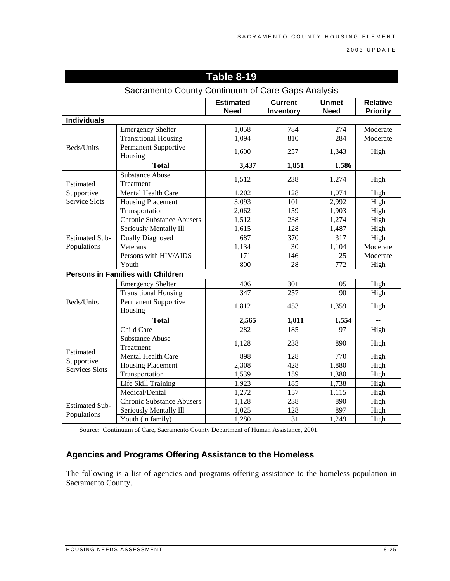2003 UPDATE

| Sacramento County Continuum of Care Gaps Analysis |                                          |                                 |                             |                             |                                    |
|---------------------------------------------------|------------------------------------------|---------------------------------|-----------------------------|-----------------------------|------------------------------------|
|                                                   |                                          | <b>Estimated</b><br><b>Need</b> | <b>Current</b><br>Inventory | <b>Unmet</b><br><b>Need</b> | <b>Relative</b><br><b>Priority</b> |
| <b>Individuals</b>                                |                                          |                                 |                             |                             |                                    |
|                                                   | <b>Emergency Shelter</b>                 | 1,058                           | 784                         | 274                         | Moderate                           |
|                                                   | <b>Transitional Housing</b>              | 1,094                           | 810                         | 284                         | Moderate                           |
| Beds/Units                                        | <b>Permanent Supportive</b><br>Housing   | 1,600                           | 257                         | 1,343                       | High                               |
|                                                   | <b>Total</b>                             | 3,437                           | 1,851                       | 1,586                       |                                    |
| Estimated<br>Supportive<br><b>Service Slots</b>   | <b>Substance Abuse</b><br>Treatment      | 1,512                           | 238                         | 1,274                       | High                               |
|                                                   | <b>Mental Health Care</b>                | 1,202                           | 128                         | 1,074                       | High                               |
|                                                   | Housing Placement                        | 3,093                           | 101                         | 2,992                       | High                               |
|                                                   | Transportation                           | 2,062                           | 159                         | 1,903                       | High                               |
|                                                   | <b>Chronic Substance Abusers</b>         | 1,512                           | 238                         | 1,274                       | High                               |
|                                                   | Seriously Mentally Ill                   | 1,615                           | 128                         | 1,487                       | High                               |
| <b>Estimated Sub-</b>                             | <b>Dually Diagnosed</b>                  | 687                             | 370                         | 317                         | High                               |
| Populations                                       | Veterans                                 | 1,134                           | 30                          | 1,104                       | Moderate                           |
|                                                   | Persons with HIV/AIDS                    | 171                             | 146                         | 25                          | Moderate                           |
|                                                   | Youth                                    | 800                             | 28                          | 772                         | High                               |
|                                                   | <b>Persons in Families with Children</b> |                                 |                             |                             |                                    |
|                                                   | <b>Emergency Shelter</b>                 | 406                             | 301                         | 105                         | High                               |
|                                                   | Transitional Housing                     | 347                             | 257                         | 90                          | High                               |
| Beds/Units                                        | Permanent Supportive<br>Housing          | 1,812                           | 453                         | 1,359                       | High                               |
|                                                   | <b>Total</b>                             | 2,565                           | 1,011                       | 1,554                       | $\sim$                             |
|                                                   | Child Care                               | 282                             | 185                         | 97                          | High                               |
|                                                   | <b>Substance Abuse</b>                   |                                 |                             |                             |                                    |
|                                                   | Treatment                                | 1,128                           | 238                         | 890                         | High                               |
| Estimated                                         | Mental Health Care                       | 898                             | 128                         | 770                         | High                               |
| Supportive<br><b>Services Slots</b>               | <b>Housing Placement</b>                 | 2,308                           | 428                         | 1,880                       | High                               |
|                                                   | Transportation                           | 1,539                           | 159                         | 1,380                       | High                               |
|                                                   | Life Skill Training                      | 1,923                           | 185                         | 1,738                       | High                               |
|                                                   | Medical/Dental                           | 1,272                           | 157                         | 1,115                       | High                               |
|                                                   | <b>Chronic Substance Abusers</b>         | 1,128                           | 238                         | 890                         | High                               |
| <b>Estimated Sub-</b><br>Populations              | Seriously Mentally Ill                   | 1,025                           | 128                         | 897                         | High                               |
|                                                   | Youth (in family)                        | 1,280                           | 31                          | 1,249                       | High                               |

# **Table 8-19**

Source: Continuum of Care, Sacramento County Department of Human Assistance, 2001.

## **Agencies and Programs Offering Assistance to the Homeless**

 Sacramento County. The following is a list of agencies and programs offering assistance to the homeless population in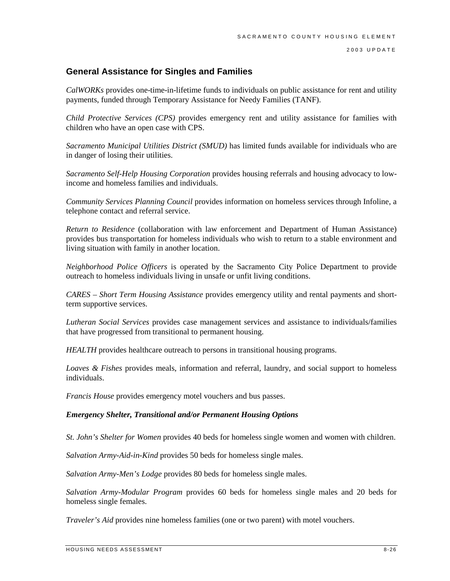2003 UPDATE

## **General Assistance for Singles and Families**

*CalWORKs* provides one-time-in-lifetime funds to individuals on public assistance for rent and utility payments, funded through Temporary Assistance for Needy Families (TANF).

*Child Protective Services (CPS)* provides emergency rent and utility assistance for families with children who have an open case with CPS.

*Sacramento Municipal Utilities District (SMUD)* has limited funds available for individuals who are in danger of losing their utilities.

*Sacramento Self-Help Housing Corporation* provides housing referrals and housing advocacy to lowincome and homeless families and individuals.

*Community Services Planning Council* provides information on homeless services through Infoline, a telephone contact and referral service.

*Return to Residence* (collaboration with law enforcement and Department of Human Assistance) provides bus transportation for homeless individuals who wish to return to a stable environment and living situation with family in another location.

*Neighborhood Police Officers* is operated by the Sacramento City Police Department to provide outreach to homeless individuals living in unsafe or unfit living conditions.

*CARES – Short Term Housing Assistance* provides emergency utility and rental payments and shortterm supportive services.

*Lutheran Social Services* provides case management services and assistance to individuals/families that have progressed from transitional to permanent housing.

*HEALTH* provides healthcare outreach to persons in transitional housing programs.

*Loaves & Fishes* provides meals, information and referral, laundry, and social support to homeless individuals.

*Francis House* provides emergency motel vouchers and bus passes.

### *Emergency Shelter, Transitional and/or Permanent Housing Options*

*St. John's Shelter for Women* provides 40 beds for homeless single women and women with children.

*Salvation Army-Aid-in-Kind* provides 50 beds for homeless single males.

*Salvation Army-Men's Lodge* provides 80 beds for homeless single males.

*Salvation Army-Modular Program* provides 60 beds for homeless single males and 20 beds for homeless single females.

*Traveler's Aid* provides nine homeless families (one or two parent) with motel vouchers.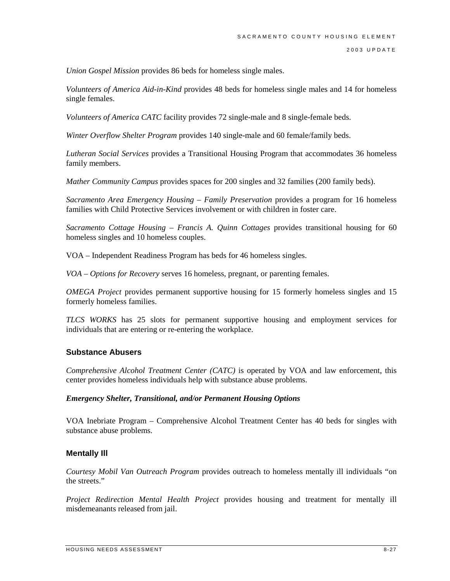*Union Gospel Mission* provides 86 beds for homeless single males.

*Volunteers of America Aid-in-Kind* provides 48 beds for homeless single males and 14 for homeless single females.

*Volunteers of America CATC* facility provides 72 single-male and 8 single-female beds.

*Winter Overflow Shelter Program* provides 140 single-male and 60 female/family beds.

*Lutheran Social Services* provides a Transitional Housing Program that accommodates 36 homeless family members.

*Mather Community Campus* provides spaces for 200 singles and 32 families (200 family beds).

*Sacramento Area Emergency Housing – Family Preservation* provides a program for 16 homeless families with Child Protective Services involvement or with children in foster care.

*Sacramento Cottage Housing – Francis A. Quinn Cottages* provides transitional housing for 60 homeless singles and 10 homeless couples.

VOA – Independent Readiness Program has beds for 46 homeless singles.

*VOA – Options for Recovery* serves 16 homeless, pregnant, or parenting females.

*OMEGA Project* provides permanent supportive housing for 15 formerly homeless singles and 15 formerly homeless families.

*TLCS WORKS* has 25 slots for permanent supportive housing and employment services for individuals that are entering or re-entering the workplace.

### **Substance Abusers**

*Comprehensive Alcohol Treatment Center (CATC)* is operated by VOA and law enforcement, this center provides homeless individuals help with substance abuse problems.

#### *Emergency Shelter, Transitional, and/or Permanent Housing Options*

VOA Inebriate Program – Comprehensive Alcohol Treatment Center has 40 beds for singles with substance abuse problems.

### **Mentally Ill**

*Courtesy Mobil Van Outreach Program* provides outreach to homeless mentally ill individuals "on the streets."

*Project Redirection Mental Health Project* provides housing and treatment for mentally ill misdemeanants released from jail.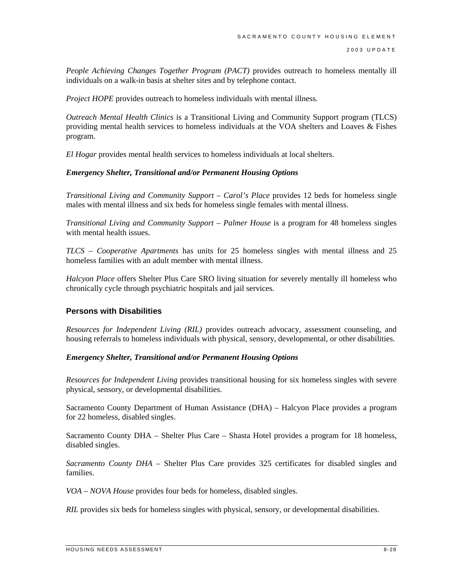*People Achieving Changes Together Program (PACT)* provides outreach to homeless mentally ill individuals on a walk-in basis at shelter sites and by telephone contact.

*Project HOPE* provides outreach to homeless individuals with mental illness.

*Outreach Mental Health Clinics* is a Transitional Living and Community Support program (TLCS) providing mental health services to homeless individuals at the VOA shelters and Loaves & Fishes program.

*El Hogar* provides mental health services to homeless individuals at local shelters.

#### *Emergency Shelter, Transitional and/or Permanent Housing Options*

*Transitional Living and Community Support – Carol's Place* provides 12 beds for homeless single males with mental illness and six beds for homeless single females with mental illness.

*Transitional Living and Community Support – Palmer House* is a program for 48 homeless singles with mental health issues.

*TLCS – Cooperative Apartments* has units for 25 homeless singles with mental illness and 25 homeless families with an adult member with mental illness.

*Halcyon Place* offers Shelter Plus Care SRO living situation for severely mentally ill homeless who chronically cycle through psychiatric hospitals and jail services.

### **Persons with Disabilities**

*Resources for Independent Living (RIL)* provides outreach advocacy, assessment counseling, and housing referrals to homeless individuals with physical, sensory, developmental, or other disabilities.

### *Emergency Shelter, Transitional and/or Permanent Housing Options*

*Resources for Independent Living* provides transitional housing for six homeless singles with severe physical, sensory, or developmental disabilities.

Sacramento County Department of Human Assistance (DHA) – Halcyon Place provides a program for 22 homeless, disabled singles.

Sacramento County DHA – Shelter Plus Care – Shasta Hotel provides a program for 18 homeless, disabled singles.

*Sacramento County DHA* – Shelter Plus Care provides 325 certificates for disabled singles and families.

*VOA – NOVA House* provides four beds for homeless, disabled singles.

*RIL* provides six beds for homeless singles with physical, sensory, or developmental disabilities.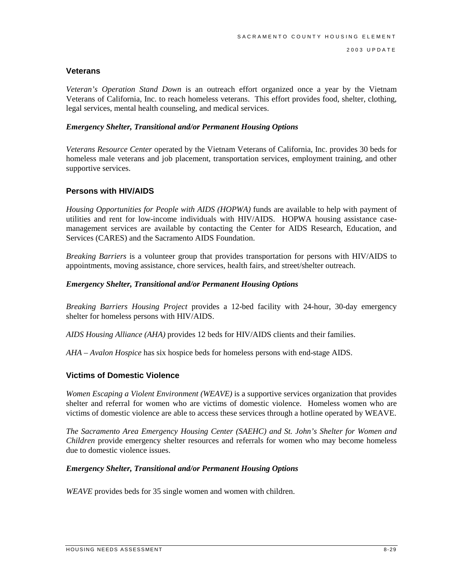### **Veterans**

*Veteran's Operation Stand Down* is an outreach effort organized once a year by the Vietnam Veterans of California, Inc. to reach homeless veterans. This effort provides food, shelter, clothing, legal services, mental health counseling, and medical services.

#### *Emergency Shelter, Transitional and/or Permanent Housing Options*

*Veterans Resource Center* operated by the Vietnam Veterans of California, Inc. provides 30 beds for homeless male veterans and job placement, transportation services, employment training, and other supportive services.

### **Persons with HIV/AIDS**

*Housing Opportunities for People with AIDS (HOPWA)* funds are available to help with payment of utilities and rent for low-income individuals with HIV/AIDS. HOPWA housing assistance casemanagement services are available by contacting the Center for AIDS Research, Education, and Services (CARES) and the Sacramento AIDS Foundation.

*Breaking Barriers* is a volunteer group that provides transportation for persons with HIV/AIDS to appointments, moving assistance, chore services, health fairs, and street/shelter outreach.

#### *Emergency Shelter, Transitional and/or Permanent Housing Options*

*Breaking Barriers Housing Project* provides a 12-bed facility with 24-hour, 30-day emergency shelter for homeless persons with HIV/AIDS.

*AIDS Housing Alliance (AHA)* provides 12 beds for HIV/AIDS clients and their families.

*AHA – Avalon Hospice* has six hospice beds for homeless persons with end-stage AIDS.

### **Victims of Domestic Violence**

 victims of domestic violence are able to access these services through a hotline operated by WEAVE. *Women Escaping a Violent Environment (WEAVE)* is a supportive services organization that provides shelter and referral for women who are victims of domestic violence. Homeless women who are

*The Sacramento Area Emergency Housing Center (SAEHC) and St. John's Shelter for Women and Children* provide emergency shelter resources and referrals for women who may become homeless due to domestic violence issues.

#### *Emergency Shelter, Transitional and/or Permanent Housing Options*

*WEAVE* provides beds for 35 single women and women with children.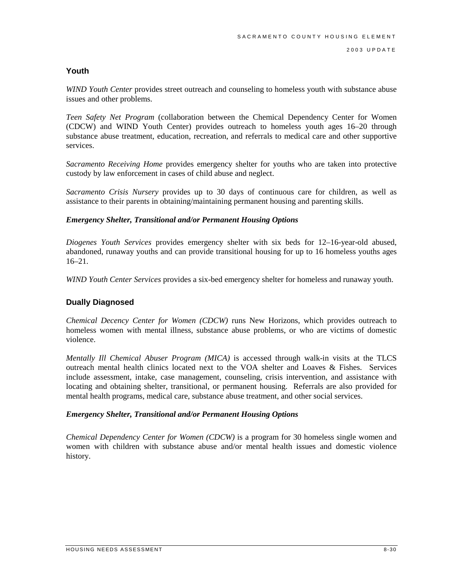### **Youth**

*WIND Youth Center* provides street outreach and counseling to homeless youth with substance abuse issues and other problems.

*Teen Safety Net Program* (collaboration between the Chemical Dependency Center for Women (CDCW) and WIND Youth Center) provides outreach to homeless youth ages 16–20 through substance abuse treatment, education, recreation, and referrals to medical care and other supportive services.

*Sacramento Receiving Home* provides emergency shelter for youths who are taken into protective custody by law enforcement in cases of child abuse and neglect.

*Sacramento Crisis Nursery* provides up to 30 days of continuous care for children, as well as assistance to their parents in obtaining/maintaining permanent housing and parenting skills.

#### *Emergency Shelter, Transitional and/or Permanent Housing Options*

*Diogenes Youth Services* provides emergency shelter with six beds for 12–16-year-old abused, abandoned, runaway youths and can provide transitional housing for up to 16 homeless youths ages 16–21.

*WIND Youth Center Services* provides a six-bed emergency shelter for homeless and runaway youth.

### **Dually Diagnosed**

*Chemical Decency Center for Women (CDCW)* runs New Horizons, which provides outreach to homeless women with mental illness, substance abuse problems, or who are victims of domestic violence.

*Mentally Ill Chemical Abuser Program (MICA)* is accessed through walk-in visits at the TLCS outreach mental health clinics located next to the VOA shelter and Loaves & Fishes. Services include assessment, intake, case management, counseling, crisis intervention, and assistance with locating and obtaining shelter, transitional, or permanent housing. Referrals are also provided for mental health programs, medical care, substance abuse treatment, and other social services.

#### *Emergency Shelter, Transitional and/or Permanent Housing Options*

*Chemical Dependency Center for Women (CDCW)* is a program for 30 homeless single women and women with children with substance abuse and/or mental health issues and domestic violence history.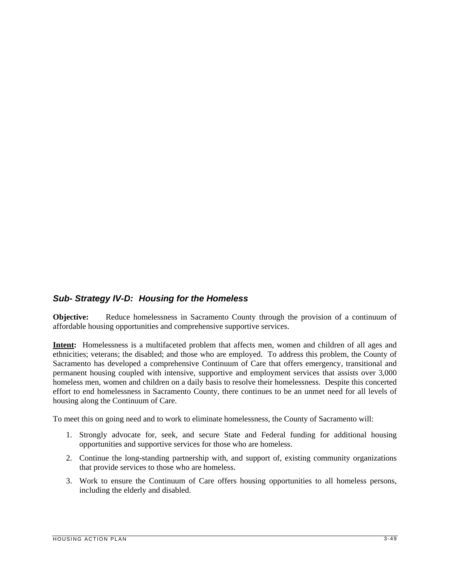## *Sub- Strategy IV-D: Housing for the Homeless*

**Objective:** Reduce homelessness in Sacramento County through the provision of a continuum of affordable housing opportunities and comprehensive supportive services.

**Intent:** Homelessness is a multifaceted problem that affects men, women and children of all ages and ethnicities; veterans; the disabled; and those who are employed. To address this problem, the County of Sacramento has developed a comprehensive Continuum of Care that offers emergency, transitional and permanent housing coupled with intensive, supportive and employment services that assists over 3,000 homeless men, women and children on a daily basis to resolve their homelessness. Despite this concerted effort to end homelessness in Sacramento County, there continues to be an unmet need for all levels of housing along the Continuum of Care.

To meet this on going need and to work to eliminate homelessness, the County of Sacramento will:

- 1. Strongly advocate for, seek, and secure State and Federal funding for additional housing opportunities and supportive services for those who are homeless.
- 2. Continue the long-standing partnership with, and support of, existing community organizations that provide services to those who are homeless.
- 3. Work to ensure the Continuum of Care offers housing opportunities to all homeless persons, including the elderly and disabled.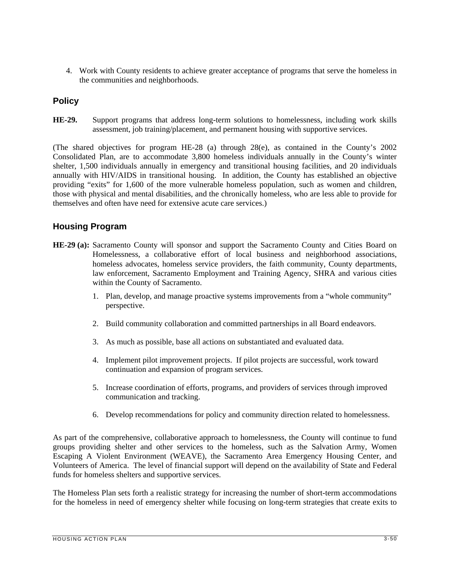4. Work with County residents to achieve greater acceptance of programs that serve the homeless in the communities and neighborhoods.

## **Policy**

**HE-29.** Support programs that address long-term solutions to homelessness, including work skills assessment, job training/placement, and permanent housing with supportive services.

(The shared objectives for program HE-28 (a) through 28(e), as contained in the County's 2002 Consolidated Plan, are to accommodate 3,800 homeless individuals annually in the County's winter shelter, 1,500 individuals annually in emergency and transitional housing facilities, and 20 individuals annually with HIV/AIDS in transitional housing. In addition, the County has established an objective providing "exits" for 1,600 of the more vulnerable homeless population, such as women and children, those with physical and mental disabilities, and the chronically homeless, who are less able to provide for themselves and often have need for extensive acute care services.)

## **Housing Program**

- **HE-29 (a):** Sacramento County will sponsor and support the Sacramento County and Cities Board on Homelessness, a collaborative effort of local business and neighborhood associations, homeless advocates, homeless service providers, the faith community, County departments, law enforcement, Sacramento Employment and Training Agency, SHRA and various cities within the County of Sacramento.
	- 1. Plan, develop, and manage proactive systems improvements from a "whole community" perspective.
	- 2. Build community collaboration and committed partnerships in all Board endeavors.
	- 3. As much as possible, base all actions on substantiated and evaluated data.
	- 4. Implement pilot improvement projects. If pilot projects are successful, work toward continuation and expansion of program services.
	- 5. Increase coordination of efforts, programs, and providers of services through improved communication and tracking.
	- 6. Develop recommendations for policy and community direction related to homelessness.

As part of the comprehensive, collaborative approach to homelessness, the County will continue to fund groups providing shelter and other services to the homeless, such as the Salvation Army, Women Escaping A Violent Environment (WEAVE), the Sacramento Area Emergency Housing Center, and Volunteers of America. The level of financial support will depend on the availability of State and Federal funds for homeless shelters and supportive services.

The Homeless Plan sets forth a realistic strategy for increasing the number of short-term accommodations for the homeless in need of emergency shelter while focusing on long-term strategies that create exits to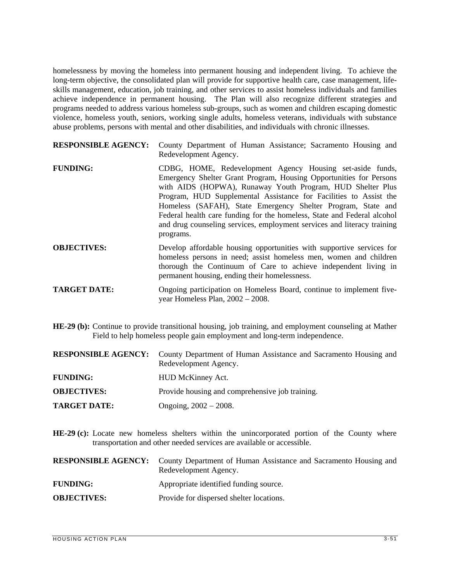homelessness by moving the homeless into permanent housing and independent living. To achieve the long-term objective, the consolidated plan will provide for supportive health care, case management, lifeskills management, education, job training, and other services to assist homeless individuals and families achieve independence in permanent housing. The Plan will also recognize different strategies and programs needed to address various homeless sub-groups, such as women and children escaping domestic violence, homeless youth, seniors, working single adults, homeless veterans, individuals with substance abuse problems, persons with mental and other disabilities, and individuals with chronic illnesses.

| <b>RESPONSIBLE AGENCY:</b> | County Department of Human Assistance; Sacramento Housing and<br>Redevelopment Agency.                                                                                                                                                                                                                                                                                                                                                                                                                |
|----------------------------|-------------------------------------------------------------------------------------------------------------------------------------------------------------------------------------------------------------------------------------------------------------------------------------------------------------------------------------------------------------------------------------------------------------------------------------------------------------------------------------------------------|
| <b>FUNDING:</b>            | CDBG, HOME, Redevelopment Agency Housing set-aside funds,<br>Emergency Shelter Grant Program, Housing Opportunities for Persons<br>with AIDS (HOPWA), Runaway Youth Program, HUD Shelter Plus<br>Program, HUD Supplemental Assistance for Facilities to Assist the<br>Homeless (SAFAH), State Emergency Shelter Program, State and<br>Federal health care funding for the homeless, State and Federal alcohol<br>and drug counseling services, employment services and literacy training<br>programs. |
| <b>OBJECTIVES:</b>         | Develop affordable housing opportunities with supportive services for<br>homeless persons in pead: assist homeless men women and children                                                                                                                                                                                                                                                                                                                                                             |

- homeless persons in need; assist homeless men, women and children thorough the Continuum of Care to achieve independent living in permanent housing, ending their homelessness.
- **TARGET DATE:** Ongoing participation on Homeless Board, continue to implement fiveyear Homeless Plan, 2002 – 2008.
- **HE-29 (b):** Continue to provide transitional housing, job training, and employment counseling at Mather Field to help homeless people gain employment and long-term independence.

|                     | <b>RESPONSIBLE AGENCY:</b> County Department of Human Assistance and Sacramento Housing and<br>Redevelopment Agency. |
|---------------------|----------------------------------------------------------------------------------------------------------------------|
| <b>FUNDING:</b>     | HUD McKinney Act.                                                                                                    |
| <b>OBJECTIVES:</b>  | Provide housing and comprehensive job training.                                                                      |
| <b>TARGET DATE:</b> | Ongoing, $2002 - 2008$ .                                                                                             |

**HE-29 (c):** Locate new homeless shelters within the unincorporated portion of the County where transportation and other needed services are available or accessible.

|                    | <b>RESPONSIBLE AGENCY:</b> County Department of Human Assistance and Sacramento Housing and<br>Redevelopment Agency. |
|--------------------|----------------------------------------------------------------------------------------------------------------------|
| <b>FUNDING:</b>    | Appropriate identified funding source.                                                                               |
| <b>OBJECTIVES:</b> | Provide for dispersed shelter locations.                                                                             |